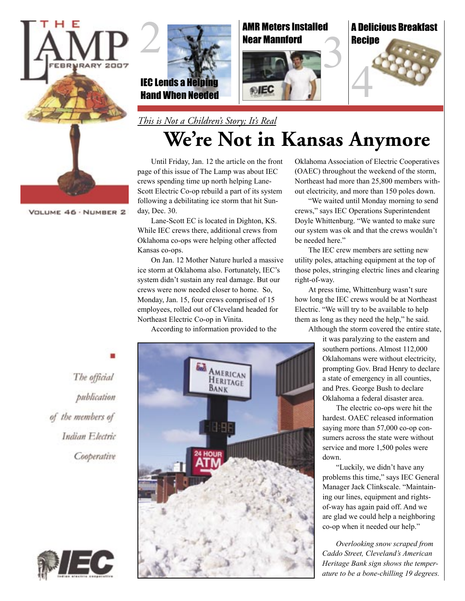

VOLUME 46 · NUMBER 2



AMR Meters Installed Near Mannford



A Delicious Breakfast **Recipe** 



*This is Not a Children's Story; It's Real*

# **We're Not in Kansas Anymore**

Until Friday, Jan. 12 the article on the front page of this issue of The Lamp was about IEC crews spending time up north helping Lane-Scott Electric Co-op rebuild a part of its system following a debilitating ice storm that hit Sunday, Dec. 30.

Lane-Scott EC is located in Dighton, KS. While IEC crews there, additional crews from Oklahoma co-ops were helping other affected Kansas co-ops.

On Jan. 12 Mother Nature hurled a massive ice storm at Oklahoma also. Fortunately, IEC's system didn't sustain any real damage. But our crews were now needed closer to home. So, Monday, Jan. 15, four crews comprised of 15 employees, rolled out of Cleveland headed for Northeast Electric Co-op in Vinita.

According to information provided to the

AMERICAN HERITAGE BANK

Oklahoma Association of Electric Cooperatives (OAEC) throughout the weekend of the storm, Northeast had more than 25,800 members without electricity, and more than 150 poles down.

"We waited until Monday morning to send crews," says IEC Operations Superintendent Doyle Whittenburg. "We wanted to make sure our system was ok and that the crews wouldn't be needed here."

The IEC crew members are setting new utility poles, attaching equipment at the top of those poles, stringing electric lines and clearing right-of-way.

At press time, Whittenburg wasn't sure how long the IEC crews would be at Northeast Electric. "We will try to be available to help them as long as they need the help," he said.

Although the storm covered the entire state,

it was paralyzing to the eastern and southern portions. Almost 112,000 Oklahomans were without electricity, prompting Gov. Brad Henry to declare a state of emergency in all counties, and Pres. George Bush to declare Oklahoma a federal disaster area.

The electric co-ops were hit the hardest. OAEC released information saying more than 57,000 co-op consumers across the state were without service and more 1,500 poles were down.

"Luckily, we didn't have any problems this time," says IEC General Manager Jack Clinkscale. "Maintaining our lines, equipment and rightsof-way has again paid off. And we are glad we could help a neighboring co-op when it needed our help."

*Overlooking snow scraped from Caddo Street, Cleveland's American Heritage Bank sign shows the temperature to be a bone-chilling 19 degrees.*

The official publication of the members of Indian Electric Cooperative

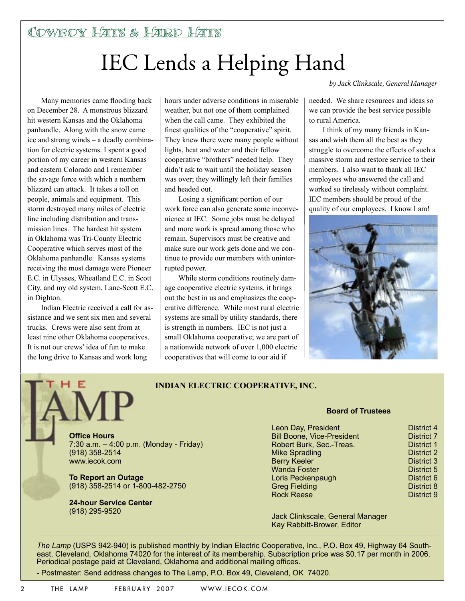# IEC Lends a Helping Hand

Many memories came flooding back on December 28. A monstrous blizzard hit western Kansas and the Oklahoma panhandle. Along with the snow came ice and strong winds – a deadly combination for electric systems. I spent a good portion of my career in western Kansas and eastern Colorado and I remember the savage force with which a northern blizzard can attack. It takes a toll on people, animals and equipment. This storm destroyed many miles of electric line including distribution and transmission lines. The hardest hit system in Oklahoma was Tri-County Electric Cooperative which serves most of the Oklahoma panhandle. Kansas systems receiving the most damage were Pioneer E.C. in Ulysses, Wheatland E.C. in Scott City, and my old system, Lane-Scott E.C. in Dighton.

Indian Electric received a call for assistance and we sent six men and several trucks. Crews were also sent from at least nine other Oklahoma cooperatives. It is not our crews' idea of fun to make the long drive to Kansas and work long

hours under adverse conditions in miserable weather, but not one of them complained when the call came. They exhibited the finest qualities of the "cooperative" spirit. They knew there were many people without lights, heat and water and their fellow cooperative "brothers" needed help. They didn't ask to wait until the holiday season was over; they willingly left their families and headed out.

Losing a significant portion of our work force can also generate some inconvenience at IEC. Some jobs must be delayed and more work is spread among those who remain. Supervisors must be creative and make sure our work gets done and we continue to provide our members with uninterrupted power.

While storm conditions routinely damage cooperative electric systems, it brings out the best in us and emphasizes the cooperative difference. While most rural electric systems are small by utility standards, there is strength in numbers. IEC is not just a small Oklahoma cooperative; we are part of a nationwide network of over 1,000 electric cooperatives that will come to our aid if

*by Jack Clinkscale, General Manager*

needed. We share resources and ideas so we can provide the best service possible to rural America.

I think of my many friends in Kansas and wish them all the best as they struggle to overcome the effects of such a massive storm and restore service to their members. I also want to thank all IEC employees who answered the call and worked so tirelessly without complaint. IEC members should be proud of the quality of our employees. I know I am!



### **INDIAN ELECTRIC COOPERATIVE, INC.**

**Office Hours** 7:30 a.m. – 4:00 p.m. (Monday - Friday) (918) 358-2514 www.iecok.com

**To Report an Outage** (918) 358-2514 or 1-800-482-2750

**24-hour Service Center**  (918) 295-9520

#### **Board of Trustees**

| Leon Day, President               | <b>District 4</b> |
|-----------------------------------|-------------------|
| <b>Bill Boone, Vice-President</b> | <b>District 7</b> |
| Robert Burk, Sec.-Treas.          | <b>District 1</b> |
| <b>Mike Spradling</b>             | <b>District 2</b> |
| <b>Berry Keeler</b>               | <b>District 3</b> |
| <b>Wanda Foster</b>               | District 5        |
| Loris Peckenpaugh                 | District 6        |
| <b>Greg Fielding</b>              | District 8        |
| <b>Rock Reese</b>                 | <b>District 9</b> |

Jack Clinkscale, General Manager Kay Rabbitt-Brower, Editor

*The Lamp* (USPS 942-940) is published monthly by Indian Electric Cooperative, Inc., P.O. Box 49, Highway 64 Southeast, Cleveland, Oklahoma 74020 for the interest of its membership. Subscription price was \$0.17 per month in 2006. Periodical postage paid at Cleveland, Oklahoma and additional mailing offices.

- Postmaster: Send address changes to The Lamp, P.O. Box 49, Cleveland, OK 74020.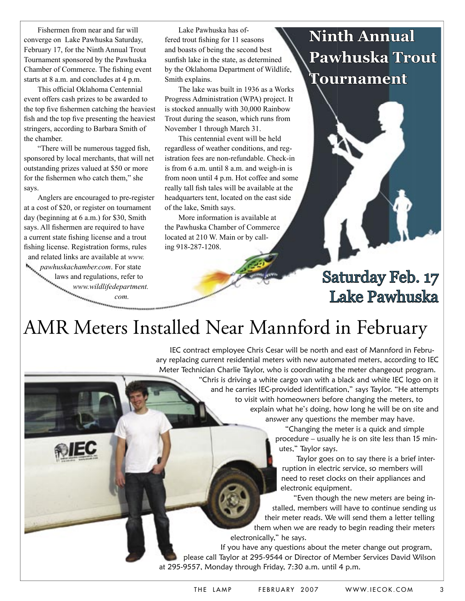Fishermen from near and far will converge on Lake Pawhuska Saturday, February 17, for the Ninth Annual Trout Tournament sponsored by the Pawhuska Chamber of Commerce. The fishing event starts at 8 a.m. and concludes at 4 p.m.

This official Oklahoma Centennial event offers cash prizes to be awarded to the top five fishermen catching the heaviest fish and the top five presenting the heaviest stringers, according to Barbara Smith of the chamber.

"There will be numerous tagged fish, sponsored by local merchants, that will net outstanding prizes valued at \$50 or more for the fishermen who catch them," she says.

Anglers are encouraged to pre-register at a cost of \$20, or register on tournament day (beginning at 6 a.m.) for \$30, Smith says. All fishermen are required to have a current state fishing license and a trout fishing license. Registration forms, rules and related links are available at *www. pawhuskachamber.com*. For state

1E)

laws and regulations, refer to *www.wildlifedepartment. com.*

Lake Pawhuska has offered trout fishing for 11 seasons and boasts of being the second best sunfish lake in the state, as determined by the Oklahoma Department of Wildlife, Smith explains.

The lake was built in 1936 as a Works Progress Administration (WPA) project. It is stocked annually with 30,000 Rainbow Trout during the season, which runs from November 1 through March 31.

This centennial event will be held regardless of weather conditions, and registration fees are non-refundable. Check-in is from 6 a.m. until 8 a.m. and weigh-in is from noon until 4 p.m. Hot coffee and some really tall fish tales will be available at the headquarters tent, located on the east side of the lake, Smith says.

More information is available at the Pawhuska Chamber of Commerce located at 210 W. Main or by calling 918-287-1208.

**Ninth Annual Pawhuska Trout Tournament**



## AMR Meters Installed Near Mannford in February

IEC contract employee Chris Cesar will be north and east of Mannford in February replacing current residential meters with new automated meters, according to IEC Meter Technician Charlie Taylor, who is coordinating the meter changeout program.

> "Chris is driving a white cargo van with a black and white IEC logo on it and he carries IEC-provided identification," says Taylor. "He attempts to visit with homeowners before changing the meters, to explain what he's doing, how long he will be on site and answer any questions the member may have.

"Changing the meter is a quick and simple procedure – usually he is on site less than 15 minutes," Taylor says.

Taylor goes on to say there is a brief interruption in electric service, so members will need to reset clocks on their appliances and electronic equipment.

"Even though the new meters are being installed, members will have to continue sending us their meter reads. We will send them a letter telling them when we are ready to begin reading their meters electronically," he says.

If you have any questions about the meter change out program, please call Taylor at 295-9544 or Director of Member Services David Wilson at 295-9557, Monday through Friday, 7:30 a.m. until 4 p.m.